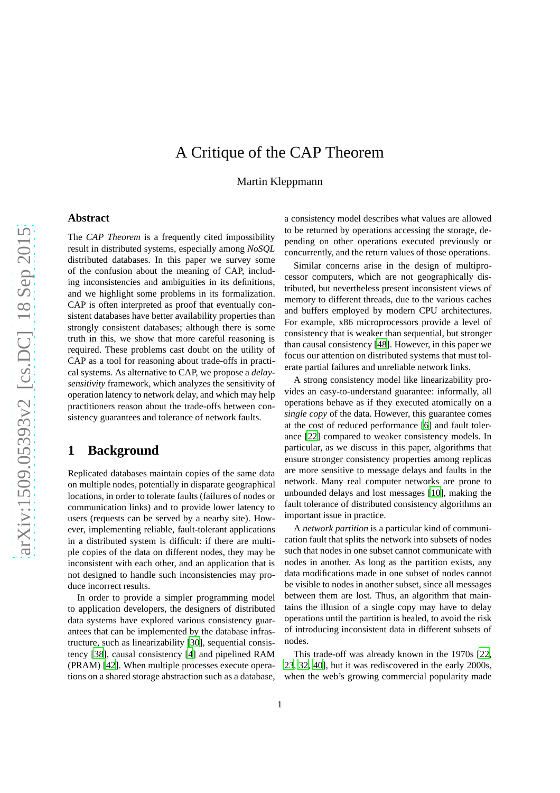# A Critique of the CAP Theorem

Martin Kleppmann

# arXiv:1509.05393v2 [cs.DC] 18 Sep 2015 [arXiv:1509.05393v2 \[cs.DC\] 18 Sep 2015](http://arxiv.org/abs/1509.05393v2)

## **Abstract**

The *CAP Theorem* is a frequently cited impossibility result in distributed systems, especially among *NoSQL* distributed databases. In this paper we survey some of the confusion about the meaning of CAP, including inconsistencies and ambiguities in its definitions, and we highlight some problems in its formalization. CAP is often interpreted as proof that eventually consistent databases have better availability properties than strongly consistent databases; although there is some truth in this, we show that more careful reasoning is required. These problems cast doubt on the utility of CAP as a tool for reasoning about trade-offs in practical systems. As alternative to CAP, we propose a *delaysensitivity* framework, which analyzes the sensitivity of operation latency to network delay, and which may help practitioners reason about the trade-offs between consistency guarantees and tolerance of network faults.

# **1 Background**

Replicated databases maintain copies of the same data on multiple nodes, potentially in disparate geographical locations, in order to tolerate faults (failures of nodes or communication links) and to provide lower latency to users (requests can be served by a nearby site). However, implementing reliable, fault-tolerant applications in a distributed system is difficult: if there are multiple copies of the data on different nodes, they may be inconsistent with each other, and an application that is not designed to handle such inconsistencies may produce incorrect results.

In order to provide a simpler programming model to application developers, the designers of distributed data systems have explored various consistency guarantees that can be implemented by the database infrastructure, such as linearizability [\[30](#page-12-0)], sequential consistency [\[38\]](#page-12-1), causal consistency [\[4\]](#page-11-0) and pipelined RAM (PRAM) [\[42\]](#page-13-0). When multiple processes execute operations on a shared storage abstraction such as a database, a consistency model describes what values are allowed to be returned by operations accessing the storage, depending on other operations executed previously or concurrently, and the return values of those operations.

Similar concerns arise in the design of multiprocessor computers, which are not geographically distributed, but nevertheless present inconsistent views of memory to different threads, due to the various caches and buffers employed by modern CPU architectures. For example, x86 microprocessors provide a level of consistency that is weaker than sequential, but stronger than causal consistency [\[48\]](#page-13-1). However, in this paper we focus our attention on distributed systems that must tolerate partial failures and unreliable network links.

A strong consistency model like linearizability provides an easy-to-understand guarantee: informally, all operations behave as if they executed atomically on a *single copy* of the data. However, this guarantee comes at the cost of reduced performance [\[6\]](#page-11-1) and fault tolerance [\[22](#page-12-2)] compared to weaker consistency models. In particular, as we discuss in this paper, algorithms that ensure stronger consistency properties among replicas are more sensitive to message delays and faults in the network. Many real computer networks are prone to unbounded delays and lost messages [\[10\]](#page-11-2), making the fault tolerance of distributed consistency algorithms an important issue in practice.

A *network partition* is a particular kind of communication fault that splits the network into subsets of nodes such that nodes in one subset cannot communicate with nodes in another. As long as the partition exists, any data modifications made in one subset of nodes cannot be visible to nodes in another subset, since all messages between them are lost. Thus, an algorithm that maintains the illusion of a single copy may have to delay operations until the partition is healed, to avoid the risk of introducing inconsistent data in different subsets of nodes.

This trade-off was already known in the 1970s [\[22,](#page-12-2) [23](#page-12-3), [32,](#page-12-4) [40\]](#page-12-5), but it was rediscovered in the early 2000s, when the web's growing commercial popularity made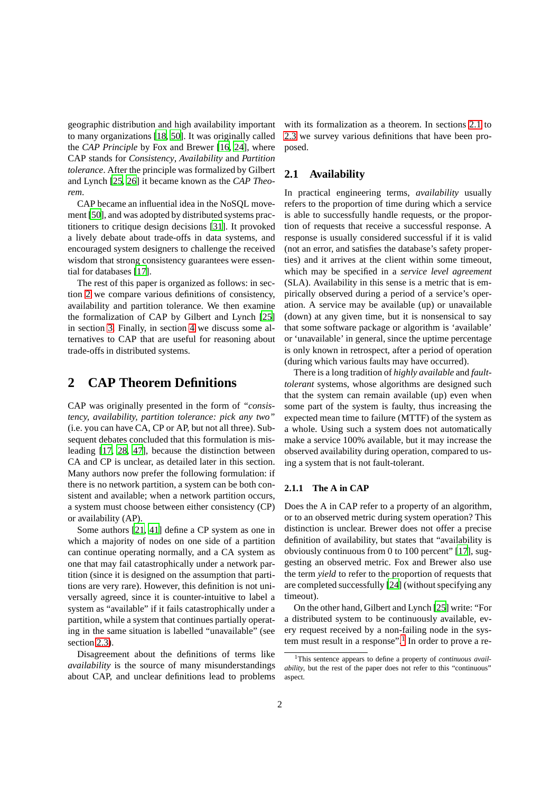geographic distribution and high availability important to many organizations [\[18,](#page-12-6) [50\]](#page-13-2). It was originally called the *CAP Principle* by Fox and Brewer [\[16,](#page-12-7) [24\]](#page-12-8), where CAP stands for *Consistency*, *Availability* and *Partition tolerance*. After the principle was formalized by Gilbert and Lynch [\[25,](#page-12-9) [26\]](#page-12-10) it became known as the *CAP Theorem*.

CAP became an influential idea in the NoSQL movement [\[50](#page-13-2)], and was adopted by distributed systems practitioners to critique design decisions [\[31](#page-12-11)]. It provoked a lively debate about trade-offs in data systems, and encouraged system designers to challenge the received wisdom that strong consistency guarantees were essential for databases [\[17](#page-12-12)].

The rest of this paper is organized as follows: in section [2](#page-1-0) we compare various definitions of consistency, availability and partition tolerance. We then examine the formalization of CAP by Gilbert and Lynch [\[25\]](#page-12-9) in section [3.](#page-4-0) Finally, in section [4](#page-7-0) we discuss some alternatives to CAP that are useful for reasoning about trade-offs in distributed systems.

# <span id="page-1-0"></span>**2 CAP Theorem Definitions**

CAP was originally presented in the form of *"consistency, availability, partition tolerance: pick any two"* (i.e. you can have CA, CP or AP, but not all three). Subsequent debates concluded that this formulation is misleading [\[17,](#page-12-12) [28](#page-12-13), [47\]](#page-13-3), because the distinction between CA and CP is unclear, as detailed later in this section. Many authors now prefer the following formulation: if there is no network partition, a system can be both consistent and available; when a network partition occurs, a system must choose between either consistency (CP) or availability (AP).

Some authors [\[21](#page-12-14), [41\]](#page-12-15) define a CP system as one in which a majority of nodes on one side of a partition can continue operating normally, and a CA system as one that may fail catastrophically under a network partition (since it is designed on the assumption that partitions are very rare). However, this definition is not universally agreed, since it is counter-intuitive to label a system as "available" if it fails catastrophically under a partition, while a system that continues partially operating in the same situation is labelled "unavailable" (see section [2.3\)](#page-3-0).

Disagreement about the definitions of terms like *availability* is the source of many misunderstandings about CAP, and unclear definitions lead to problems with its formalization as a theorem. In sections [2.1](#page-1-1) to [2.3](#page-3-0) we survey various definitions that have been proposed.

# <span id="page-1-1"></span>**2.1 Availability**

In practical engineering terms, *availability* usually refers to the proportion of time during which a service is able to successfully handle requests, or the proportion of requests that receive a successful response. A response is usually considered successful if it is valid (not an error, and satisfies the database's safety properties) and it arrives at the client within some timeout, which may be specified in a *service level agreement* (SLA). Availability in this sense is a metric that is empirically observed during a period of a service's operation. A service may be available (up) or unavailable (down) at any given time, but it is nonsensical to say that some software package or algorithm is 'available' or 'unavailable' in general, since the uptime percentage is only known in retrospect, after a period of operation (during which various faults may have occurred).

There is a long tradition of *highly available* and *faulttolerant* systems, whose algorithms are designed such that the system can remain available (up) even when some part of the system is faulty, thus increasing the expected mean time to failure (MTTF) of the system as a whole. Using such a system does not automatically make a service 100% available, but it may increase the observed availability during operation, compared to using a system that is not fault-tolerant.

## **2.1.1 The A in CAP**

Does the A in CAP refer to a property of an algorithm, or to an observed metric during system operation? This distinction is unclear. Brewer does not offer a precise definition of availability, but states that "availability is obviously continuous from 0 to 100 percent" [\[17\]](#page-12-12), suggesting an observed metric. Fox and Brewer also use the term *yield* to refer to the proportion of requests that are completed successfully [\[24\]](#page-12-8) (without specifying any timeout).

On the other hand, Gilbert and Lynch [\[25\]](#page-12-9) write: "For a distributed system to be continuously available, every request received by a non-failing node in the sys-tem must result in a response".<sup>[1](#page-1-2)</sup> In order to prove a re-

<span id="page-1-2"></span><sup>1</sup>This sentence appears to define a property of *continuous availability*, but the rest of the paper does not refer to this "continuous" aspect.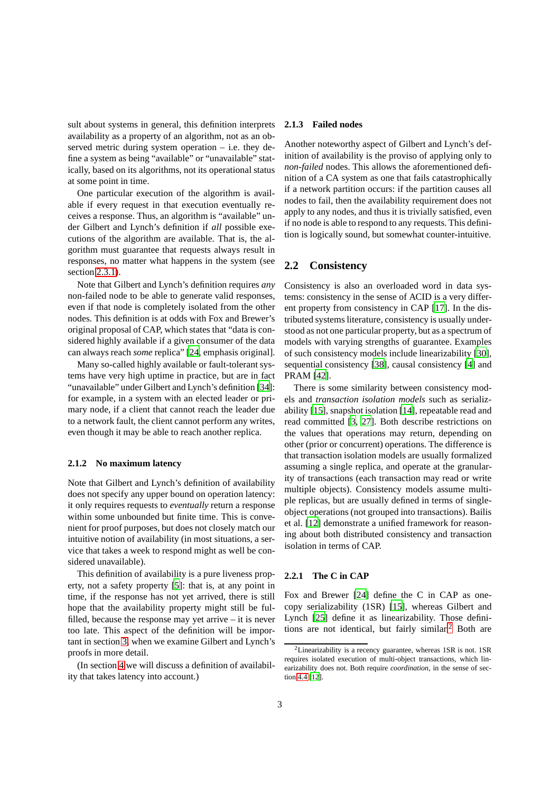sult about systems in general, this definition interprets availability as a property of an algorithm, not as an observed metric during system operation – i.e. they define a system as being "available" or "unavailable" statically, based on its algorithms, not its operational status at some point in time.

One particular execution of the algorithm is available if every request in that execution eventually receives a response. Thus, an algorithm is "available" under Gilbert and Lynch's definition if *all* possible executions of the algorithm are available. That is, the algorithm must guarantee that requests always result in responses, no matter what happens in the system (see section [2.3.1\)](#page-3-1).

Note that Gilbert and Lynch's definition requires *any* non-failed node to be able to generate valid responses, even if that node is completely isolated from the other nodes. This definition is at odds with Fox and Brewer's original proposal of CAP, which states that "data is considered highly available if a given consumer of the data can always reach *some* replica" [\[24](#page-12-8), emphasis original].

Many so-called highly available or fault-tolerant systems have very high uptime in practice, but are in fact "unavailable" under Gilbert and Lynch's definition [\[34](#page-12-16)]: for example, in a system with an elected leader or primary node, if a client that cannot reach the leader due to a network fault, the client cannot perform any writes, even though it may be able to reach another replica.

#### <span id="page-2-2"></span>**2.1.2 No maximum latency**

Note that Gilbert and Lynch's definition of availability does not specify any upper bound on operation latency: it only requires requests to *eventually* return a response within some unbounded but finite time. This is convenient for proof purposes, but does not closely match our intuitive notion of availability (in most situations, a service that takes a week to respond might as well be considered unavailable).

This definition of availability is a pure liveness property, not a safety property [\[5\]](#page-11-3): that is, at any point in time, if the response has not yet arrived, there is still hope that the availability property might still be fulfilled, because the response may yet arrive – it is never too late. This aspect of the definition will be important in section [3,](#page-4-0) when we examine Gilbert and Lynch's proofs in more detail.

(In section [4](#page-7-0) we will discuss a definition of availability that takes latency into account.)

### <span id="page-2-1"></span>**2.1.3 Failed nodes**

Another noteworthy aspect of Gilbert and Lynch's definition of availability is the proviso of applying only to *non-failed* nodes. This allows the aforementioned definition of a CA system as one that fails catastrophically if a network partition occurs: if the partition causes all nodes to fail, then the availability requirement does not apply to any nodes, and thus it is trivially satisfied, even if no node is able to respond to any requests. This definition is logically sound, but somewhat counter-intuitive.

# **2.2 Consistency**

Consistency is also an overloaded word in data systems: consistency in the sense of ACID is a very different property from consistency in CAP [\[17](#page-12-12)]. In the distributed systems literature, consistency is usually understood as not one particular property, but as a spectrum of models with varying strengths of guarantee. Examples of such consistency models include linearizability [\[30\]](#page-12-0), sequential consistency [\[38\]](#page-12-1), causal consistency [\[4\]](#page-11-0) and PRAM [\[42](#page-13-0)].

There is some similarity between consistency models and *transaction isolation models* such as serializability [\[15\]](#page-12-17), snapshot isolation [\[14\]](#page-12-18), repeatable read and read committed [\[3,](#page-11-4) [27](#page-12-19)]. Both describe restrictions on the values that operations may return, depending on other (prior or concurrent) operations. The difference is that transaction isolation models are usually formalized assuming a single replica, and operate at the granularity of transactions (each transaction may read or write multiple objects). Consistency models assume multiple replicas, but are usually defined in terms of singleobject operations (not grouped into transactions). Bailis et al. [\[12\]](#page-11-5) demonstrate a unified framework for reasoning about both distributed consistency and transaction isolation in terms of CAP.

#### <span id="page-2-3"></span>**2.2.1 The C in CAP**

Fox and Brewer [\[24\]](#page-12-8) define the C in CAP as onecopy serializability (1SR) [\[15\]](#page-12-17), whereas Gilbert and Lynch [\[25](#page-12-9)] define it as linearizability. Those definitions are not identical, but fairly similar.[2](#page-2-0) Both are

<span id="page-2-0"></span> $2$ Linearizability is a recency guarantee, whereas 1SR is not. 1SR requires isolated execution of multi-object transactions, which linearizability does not. Both require *coordination*, in the sense of section [4.4](#page-9-0) [\[12](#page-11-5)].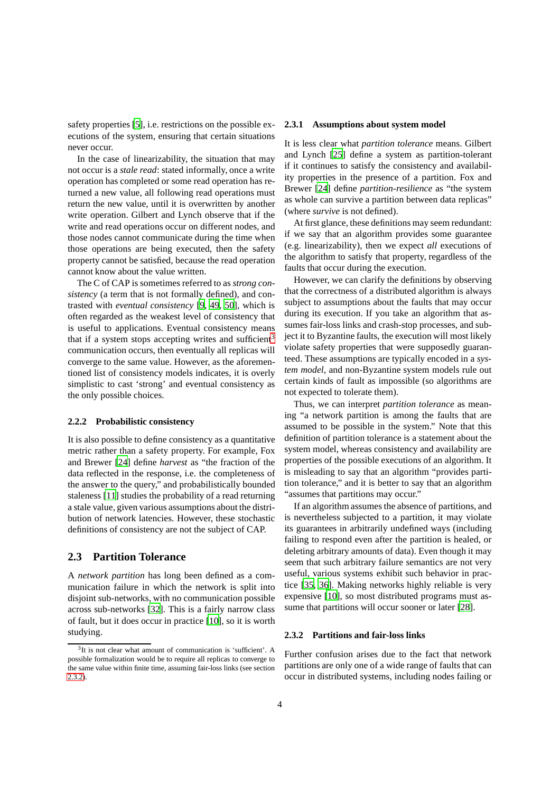safety properties [\[5\]](#page-11-3), i.e. restrictions on the possible executions of the system, ensuring that certain situations never occur.

In the case of linearizability, the situation that may not occur is a *stale read*: stated informally, once a write operation has completed or some read operation has returned a new value, all following read operations must return the new value, until it is overwritten by another write operation. Gilbert and Lynch observe that if the write and read operations occur on different nodes, and those nodes cannot communicate during the time when those operations are being executed, then the safety property cannot be satisfied, because the read operation cannot know about the value written.

The C of CAP is sometimes referred to as *strong consistency* (a term that is not formally defined), and contrasted with *eventual consistency* [\[9](#page-11-6), [49](#page-13-4), [50\]](#page-13-2), which is often regarded as the weakest level of consistency that is useful to applications. Eventual consistency means that if a system stops accepting writes and sufficient<sup>[3](#page-3-2)</sup> communication occurs, then eventually all replicas will converge to the same value. However, as the aforementioned list of consistency models indicates, it is overly simplistic to cast 'strong' and eventual consistency as the only possible choices.

#### **2.2.2 Probabilistic consistency**

It is also possible to define consistency as a quantitative metric rather than a safety property. For example, Fox and Brewer [\[24\]](#page-12-8) define *harvest* as "the fraction of the data reflected in the response, i.e. the completeness of the answer to the query," and probabilistically bounded staleness [\[11](#page-11-7)] studies the probability of a read returning a stale value, given various assumptions about the distribution of network latencies. However, these stochastic definitions of consistency are not the subject of CAP.

## <span id="page-3-0"></span>**2.3 Partition Tolerance**

A *network partition* has long been defined as a communication failure in which the network is split into disjoint sub-networks, with no communication possible across sub-networks [\[32](#page-12-4)]. This is a fairly narrow class of fault, but it does occur in practice [\[10](#page-11-2)], so it is worth studying.

#### <span id="page-3-1"></span>**2.3.1 Assumptions about system model**

It is less clear what *partition tolerance* means. Gilbert and Lynch [\[25\]](#page-12-9) define a system as partition-tolerant if it continues to satisfy the consistency and availability properties in the presence of a partition. Fox and Brewer [\[24\]](#page-12-8) define *partition-resilience* as "the system as whole can survive a partition between data replicas" (where *survive* is not defined).

At first glance, these definitions may seem redundant: if we say that an algorithm provides some guarantee (e.g. linearizability), then we expect *all* executions of the algorithm to satisfy that property, regardless of the faults that occur during the execution.

However, we can clarify the definitions by observing that the correctness of a distributed algorithm is always subject to assumptions about the faults that may occur during its execution. If you take an algorithm that assumes fair-loss links and crash-stop processes, and subject it to Byzantine faults, the execution will most likely violate safety properties that were supposedly guaranteed. These assumptions are typically encoded in a *system model*, and non-Byzantine system models rule out certain kinds of fault as impossible (so algorithms are not expected to tolerate them).

Thus, we can interpret *partition tolerance* as meaning "a network partition is among the faults that are assumed to be possible in the system." Note that this definition of partition tolerance is a statement about the system model, whereas consistency and availability are properties of the possible executions of an algorithm. It is misleading to say that an algorithm "provides partition tolerance," and it is better to say that an algorithm "assumes that partitions may occur."

If an algorithm assumes the absence of partitions, and is nevertheless subjected to a partition, it may violate its guarantees in arbitrarily undefined ways (including failing to respond even after the partition is healed, or deleting arbitrary amounts of data). Even though it may seem that such arbitrary failure semantics are not very useful, various systems exhibit such behavior in practice [\[35](#page-12-20), [36](#page-12-21)]. Making networks highly reliable is very expensive [\[10\]](#page-11-2), so most distributed programs must as-sume that partitions will occur sooner or later [\[28](#page-12-13)].

## <span id="page-3-3"></span>**2.3.2 Partitions and fair-loss links**

Further confusion arises due to the fact that network partitions are only one of a wide range of faults that can occur in distributed systems, including nodes failing or

<span id="page-3-2"></span><sup>&</sup>lt;sup>3</sup>It is not clear what amount of communication is 'sufficient'. A possible formalization would be to require all replicas to converge to the same value within finite time, assuming fair-loss links (see section [2.3.2\)](#page-3-3).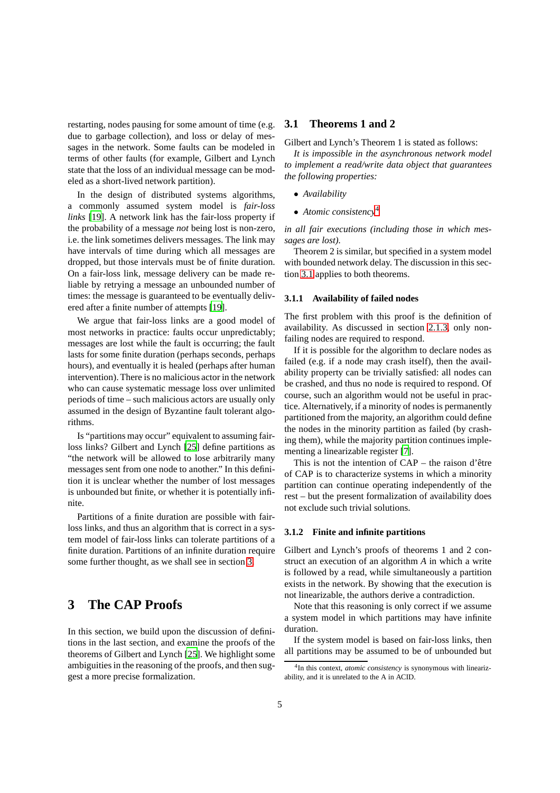restarting, nodes pausing for some amount of time (e.g. due to garbage collection), and loss or delay of messages in the network. Some faults can be modeled in terms of other faults (for example, Gilbert and Lynch state that the loss of an individual message can be modeled as a short-lived network partition).

In the design of distributed systems algorithms, a commonly assumed system model is *fair-loss links* [\[19\]](#page-12-22). A network link has the fair-loss property if the probability of a message *not* being lost is non-zero, i.e. the link sometimes delivers messages. The link may have intervals of time during which all messages are dropped, but those intervals must be of finite duration. On a fair-loss link, message delivery can be made reliable by retrying a message an unbounded number of times: the message is guaranteed to be eventually delivered after a finite number of attempts [\[19\]](#page-12-22).

We argue that fair-loss links are a good model of most networks in practice: faults occur unpredictably; messages are lost while the fault is occurring; the fault lasts for some finite duration (perhaps seconds, perhaps hours), and eventually it is healed (perhaps after human intervention). There is no malicious actor in the network who can cause systematic message loss over unlimited periods of time – such malicious actors are usually only assumed in the design of Byzantine fault tolerant algorithms.

Is "partitions may occur" equivalent to assuming fairloss links? Gilbert and Lynch [\[25\]](#page-12-9) define partitions as "the network will be allowed to lose arbitrarily many messages sent from one node to another." In this definition it is unclear whether the number of lost messages is unbounded but finite, or whether it is potentially infinite.

Partitions of a finite duration are possible with fairloss links, and thus an algorithm that is correct in a system model of fair-loss links can tolerate partitions of a finite duration. Partitions of an infinite duration require some further thought, as we shall see in section [3.](#page-4-0)

# <span id="page-4-0"></span>**3 The CAP Proofs**

In this section, we build upon the discussion of definitions in the last section, and examine the proofs of the theorems of Gilbert and Lynch [\[25\]](#page-12-9). We highlight some ambiguities in the reasoning of the proofs, and then suggest a more precise formalization.

## <span id="page-4-2"></span>**3.1 Theorems 1 and 2**

Gilbert and Lynch's Theorem 1 is stated as follows:

*It is impossible in the asynchronous network model to implement a read/write data object that guarantees the following properties:*

- *Availability*
- *Atomic consistency*[4](#page-4-1)

*in all fair executions (including those in which messages are lost).*

Theorem 2 is similar, but specified in a system model with bounded network delay. The discussion in this section [3.1](#page-4-2) applies to both theorems.

#### <span id="page-4-3"></span>**3.1.1 Availability of failed nodes**

The first problem with this proof is the definition of availability. As discussed in section [2.1.3,](#page-2-1) only nonfailing nodes are required to respond.

If it is possible for the algorithm to declare nodes as failed (e.g. if a node may crash itself), then the availability property can be trivially satisfied: all nodes can be crashed, and thus no node is required to respond. Of course, such an algorithm would not be useful in practice. Alternatively, if a minority of nodes is permanently partitioned from the majority, an algorithm could define the nodes in the minority partition as failed (by crashing them), while the majority partition continues implementing a linearizable register [\[7\]](#page-11-8).

This is not the intention of  $CAP$  – the raison d'être of CAP is to characterize systems in which a minority partition can continue operating independently of the rest – but the present formalization of availability does not exclude such trivial solutions.

#### **3.1.2 Finite and infinite partitions**

Gilbert and Lynch's proofs of theorems 1 and 2 construct an execution of an algorithm *A* in which a write is followed by a read, while simultaneously a partition exists in the network. By showing that the execution is not linearizable, the authors derive a contradiction.

Note that this reasoning is only correct if we assume a system model in which partitions may have infinite duration.

If the system model is based on fair-loss links, then all partitions may be assumed to be of unbounded but

<span id="page-4-1"></span><sup>4</sup> In this context, *atomic consistency* is synonymous with linearizability, and it is unrelated to the A in ACID.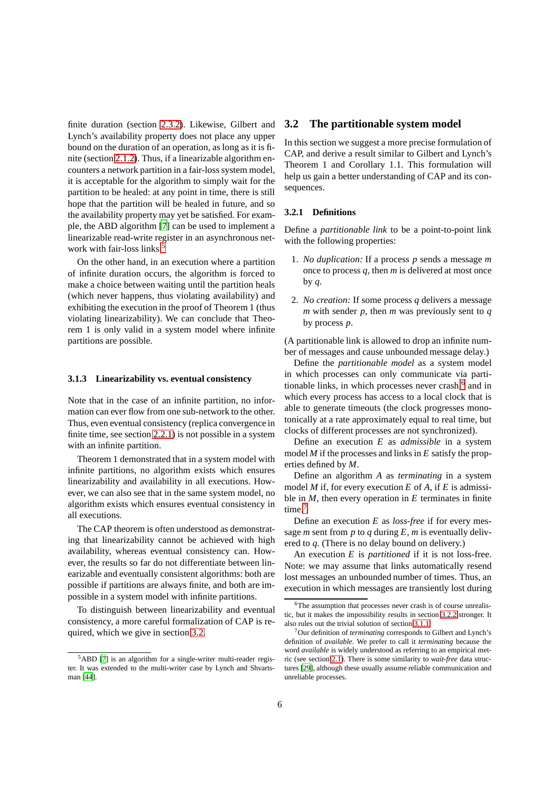finite duration (section [2.3.2\)](#page-3-3). Likewise, Gilbert and Lynch's availability property does not place any upper bound on the duration of an operation, as long as it is finite (section [2.1.2\)](#page-2-2). Thus, if a linearizable algorithm encounters a network partition in a fair-loss system model, it is acceptable for the algorithm to simply wait for the partition to be healed: at any point in time, there is still hope that the partition will be healed in future, and so the availability property may yet be satisfied. For example, the ABD algorithm [\[7](#page-11-8)] can be used to implement a linearizable read-write register in an asynchronous net-work with fair-loss links.<sup>[5](#page-5-0)</sup>

On the other hand, in an execution where a partition of infinite duration occurs, the algorithm is forced to make a choice between waiting until the partition heals (which never happens, thus violating availability) and exhibiting the execution in the proof of Theorem 1 (thus violating linearizability). We can conclude that Theorem 1 is only valid in a system model where infinite partitions are possible.

#### **3.1.3 Linearizability vs. eventual consistency**

Note that in the case of an infinite partition, no information can ever flow from one sub-network to the other. Thus, even eventual consistency (replica convergence in finite time, see section [2.2.1\)](#page-2-3) is not possible in a system with an infinite partition.

Theorem 1 demonstrated that in a system model with infinite partitions, no algorithm exists which ensures linearizability and availability in all executions. However, we can also see that in the same system model, no algorithm exists which ensures eventual consistency in all executions.

The CAP theorem is often understood as demonstrating that linearizability cannot be achieved with high availability, whereas eventual consistency can. However, the results so far do not differentiate between linearizable and eventually consistent algorithms: both are possible if partitions are always finite, and both are impossible in a system model with infinite partitions.

To distinguish between linearizability and eventual consistency, a more careful formalization of CAP is required, which we give in section [3.2.](#page-5-1)

# <span id="page-5-1"></span>**3.2 The partitionable system model**

In this section we suggest a more precise formulation of CAP, and derive a result similar to Gilbert and Lynch's Theorem 1 and Corollary 1.1. This formulation will help us gain a better understanding of CAP and its consequences.

## **3.2.1 Definitions**

Define a *partitionable link* to be a point-to-point link with the following properties:

- 1. *No duplication:* If a process *p* sends a message *m* once to process *q*, then *m* is delivered at most once by *q*.
- 2. *No creation:* If some process *q* delivers a message *m* with sender *p*, then *m* was previously sent to *q* by process *p*.

(A partitionable link is allowed to drop an infinite number of messages and cause unbounded message delay.)

Define the *partitionable model* as a system model in which processes can only communicate via parti-tionable links, in which processes never crash,<sup>[6](#page-5-2)</sup> and in which every process has access to a local clock that is able to generate timeouts (the clock progresses monotonically at a rate approximately equal to real time, but clocks of different processes are not synchronized).

Define an execution *E* as *admissible* in a system model *M* if the processes and links in *E* satisfy the properties defined by *M*.

Define an algorithm *A* as *terminating* in a system model *M* if, for every execution *E* of *A*, if *E* is admissible in *M*, then every operation in *E* terminates in finite time.<sup>[7](#page-5-3)</sup>

Define an execution *E* as *loss-free* if for every message *m* sent from *p* to *q* during  $E$ , *m* is eventually delivered to *q*. (There is no delay bound on delivery.)

An execution *E* is *partitioned* if it is not loss-free. Note: we may assume that links automatically resend lost messages an unbounded number of times. Thus, an execution in which messages are transiently lost during

<span id="page-5-0"></span><sup>5</sup>ABD [\[7\]](#page-11-8) is an algorithm for a single-writer multi-reader register. It was extended to the multi-writer case by Lynch and Shvartsman [\[44](#page-13-5)].

<span id="page-5-2"></span><sup>&</sup>lt;sup>6</sup>The assumption that processes never crash is of course unrealistic, but it makes the impossibility results in section [3.2.2](#page-6-0) stronger. It also rules out the trivial solution of section [3.1.1.](#page-4-3)

<span id="page-5-3"></span><sup>7</sup>Our definition of *terminating* corresponds to Gilbert and Lynch's definition of *available*. We prefer to call it *terminating* because the word *available* is widely understood as referring to an empirical metric (see section [2.1\)](#page-1-1). There is some similarity to *wait-free* data structures [\[29](#page-12-23)], although these usually assume reliable communication and unreliable processes.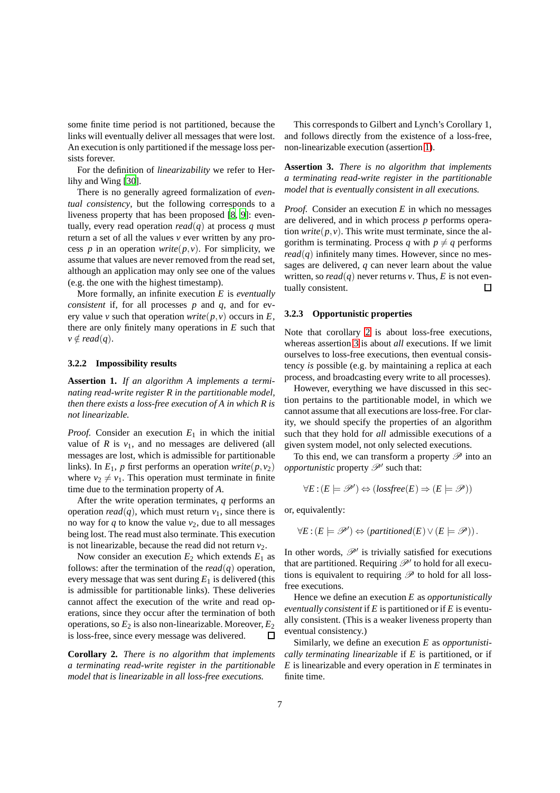some finite time period is not partitioned, because the links will eventually deliver all messages that were lost. An execution is only partitioned if the message loss persists forever.

For the definition of *linearizability* we refer to Herlihy and Wing [\[30](#page-12-0)].

There is no generally agreed formalization of *eventual consistency*, but the following corresponds to a liveness property that has been proposed [\[8,](#page-11-9) [9\]](#page-11-6): eventually, every read operation  $read(q)$  at process *q* must return a set of all the values *v* ever written by any process *p* in an operation *write*( $p, v$ ). For simplicity, we assume that values are never removed from the read set, although an application may only see one of the values (e.g. the one with the highest timestamp).

More formally, an infinite execution *E* is *eventually consistent* if, for all processes *p* and *q*, and for every value *v* such that operation *write* $(p, v)$  occurs in *E*, there are only finitely many operations in *E* such that  $v \notin read(q).$ 

#### <span id="page-6-1"></span><span id="page-6-0"></span>**3.2.2 Impossibility results**

**Assertion 1.** *If an algorithm A implements a terminating read-write register R in the partitionable model, then there exists a loss-free execution of A in which R is not linearizable.*

*Proof.* Consider an execution *E*<sup>1</sup> in which the initial value of  $R$  is  $v_1$ , and no messages are delivered (all messages are lost, which is admissible for partitionable links). In  $E_1$ , *p* first performs an operation *write*( $p, v_2$ ) where  $v_2 \neq v_1$ . This operation must terminate in finite time due to the termination property of *A*.

After the write operation terminates, *q* performs an operation *read*(*q*), which must return  $v_1$ , since there is no way for  $q$  to know the value  $v_2$ , due to all messages being lost. The read must also terminate. This execution is not linearizable, because the read did not return  $v_2$ .

Now consider an execution  $E_2$  which extends  $E_1$  as follows: after the termination of the  $read(q)$  operation, every message that was sent during  $E_1$  is delivered (this is admissible for partitionable links). These deliveries cannot affect the execution of the write and read operations, since they occur after the termination of both operations, so  $E_2$  is also non-linearizable. Moreover,  $E_2$ is loss-free, since every message was delivered.  $\mathsf \Pi$ 

<span id="page-6-2"></span>**Corollary 2.** *There is no algorithm that implements a terminating read-write register in the partitionable model that is linearizable in all loss-free executions.*

This corresponds to Gilbert and Lynch's Corollary 1, and follows directly from the existence of a loss-free, non-linearizable execution (assertion [1\)](#page-6-1).

<span id="page-6-3"></span>**Assertion 3.** *There is no algorithm that implements a terminating read-write register in the partitionable model that is eventually consistent in all executions.*

*Proof.* Consider an execution *E* in which no messages are delivered, and in which process *p* performs operation *write*( $p, v$ ). This write must terminate, since the algorithm is terminating. Process *q* with  $p \neq q$  performs  $read(q)$  infinitely many times. However, since no messages are delivered, *q* can never learn about the value written, so  $read(q)$  never returns *v*. Thus, *E* is not eventually consistent.  $\Box$ 

#### **3.2.3 Opportunistic properties**

Note that corollary [2](#page-6-2) is about loss-free executions, whereas assertion [3](#page-6-3) is about *all* executions. If we limit ourselves to loss-free executions, then eventual consistency *is* possible (e.g. by maintaining a replica at each process, and broadcasting every write to all processes).

However, everything we have discussed in this section pertains to the partitionable model, in which we cannot assume that all executions are loss-free. For clarity, we should specify the properties of an algorithm such that they hold for *all* admissible executions of a given system model, not only selected executions.

To this end, we can transform a property  $\mathscr P$  into an *opportunistic* property  $\mathscr{P}'$  such that:

$$
\forall E : (E \models \mathscr{P}') \Leftrightarrow (lossfree(E) \Rightarrow (E \models \mathscr{P}))
$$

or, equivalently:

$$
\forall E: (E \models \mathscr{P}') \Leftrightarrow (partitioned(E) \vee (E \models \mathscr{P})).
$$

In other words,  $\mathcal{P}'$  is trivially satisfied for executions that are partitioned. Requiring  $\mathcal{P}'$  to hold for all executions is equivalent to requiring  $\mathscr P$  to hold for all lossfree executions.

Hence we define an execution *E* as *opportunistically eventually consistent* if *E* is partitioned or if *E* is eventually consistent. (This is a weaker liveness property than eventual consistency.)

Similarly, we define an execution *E* as *opportunistically terminating linearizable* if *E* is partitioned, or if *E* is linearizable and every operation in *E* terminates in finite time.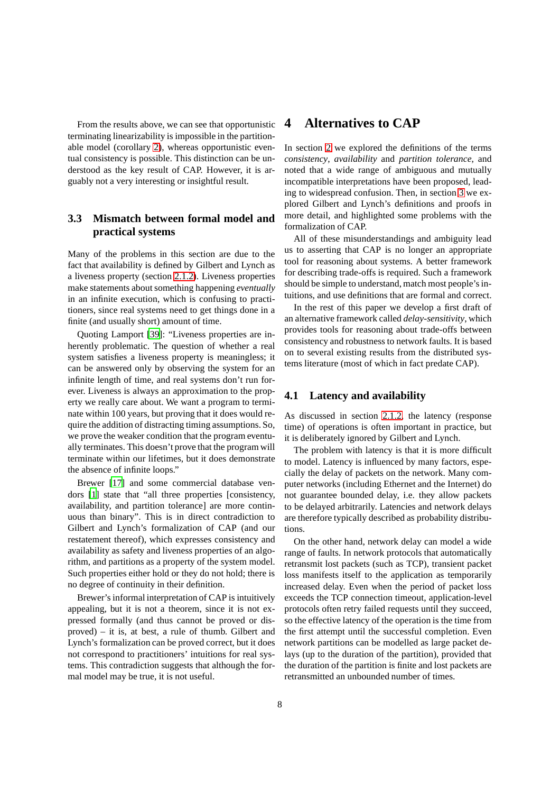From the results above, we can see that opportunistic terminating linearizability is impossible in the partitionable model (corollary [2\)](#page-6-2), whereas opportunistic eventual consistency is possible. This distinction can be understood as the key result of CAP. However, it is arguably not a very interesting or insightful result.

# **3.3 Mismatch between formal model and practical systems**

Many of the problems in this section are due to the fact that availability is defined by Gilbert and Lynch as a liveness property (section [2.1.2\)](#page-2-2). Liveness properties make statements about something happening *eventually* in an infinite execution, which is confusing to practitioners, since real systems need to get things done in a finite (and usually short) amount of time.

Quoting Lamport [\[39](#page-12-24)]: "Liveness properties are inherently problematic. The question of whether a real system satisfies a liveness property is meaningless; it can be answered only by observing the system for an infinite length of time, and real systems don't run forever. Liveness is always an approximation to the property we really care about. We want a program to terminate within 100 years, but proving that it does would require the addition of distracting timing assumptions. So, we prove the weaker condition that the program eventually terminates. This doesn't prove that the program will terminate within our lifetimes, but it does demonstrate the absence of infinite loops."

Brewer [\[17](#page-12-12)] and some commercial database vendors [\[1](#page-11-10)] state that "all three properties [consistency, availability, and partition tolerance] are more continuous than binary". This is in direct contradiction to Gilbert and Lynch's formalization of CAP (and our restatement thereof), which expresses consistency and availability as safety and liveness properties of an algorithm, and partitions as a property of the system model. Such properties either hold or they do not hold; there is no degree of continuity in their definition.

Brewer's informal interpretation of CAP is intuitively appealing, but it is not a theorem, since it is not expressed formally (and thus cannot be proved or disproved) – it is, at best, a rule of thumb. Gilbert and Lynch's formalization can be proved correct, but it does not correspond to practitioners' intuitions for real systems. This contradiction suggests that although the formal model may be true, it is not useful.

# <span id="page-7-0"></span>**4 Alternatives to CAP**

In section [2](#page-1-0) we explored the definitions of the terms *consistency*, *availability* and *partition tolerance*, and noted that a wide range of ambiguous and mutually incompatible interpretations have been proposed, leading to widespread confusion. Then, in section [3](#page-4-0) we explored Gilbert and Lynch's definitions and proofs in more detail, and highlighted some problems with the formalization of CAP.

All of these misunderstandings and ambiguity lead us to asserting that CAP is no longer an appropriate tool for reasoning about systems. A better framework for describing trade-offs is required. Such a framework should be simple to understand, match most people's intuitions, and use definitions that are formal and correct.

In the rest of this paper we develop a first draft of an alternative framework called *delay-sensitivity*, which provides tools for reasoning about trade-offs between consistency and robustness to network faults. It is based on to several existing results from the distributed systems literature (most of which in fact predate CAP).

## <span id="page-7-1"></span>**4.1 Latency and availability**

As discussed in section [2.1.2,](#page-2-2) the latency (response time) of operations is often important in practice, but it is deliberately ignored by Gilbert and Lynch.

The problem with latency is that it is more difficult to model. Latency is influenced by many factors, especially the delay of packets on the network. Many computer networks (including Ethernet and the Internet) do not guarantee bounded delay, i.e. they allow packets to be delayed arbitrarily. Latencies and network delays are therefore typically described as probability distributions.

On the other hand, network delay can model a wide range of faults. In network protocols that automatically retransmit lost packets (such as TCP), transient packet loss manifests itself to the application as temporarily increased delay. Even when the period of packet loss exceeds the TCP connection timeout, application-level protocols often retry failed requests until they succeed, so the effective latency of the operation is the time from the first attempt until the successful completion. Even network partitions can be modelled as large packet delays (up to the duration of the partition), provided that the duration of the partition is finite and lost packets are retransmitted an unbounded number of times.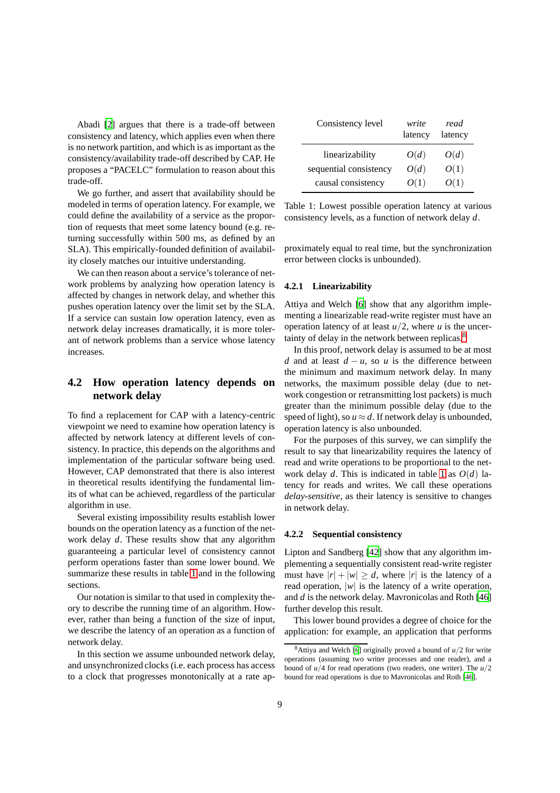Abadi [\[2\]](#page-11-11) argues that there is a trade-off between consistency and latency, which applies even when there is no network partition, and which is as important as the consistency/availability trade-off described by CAP. He proposes a "PACELC" formulation to reason about this trade-off.

We go further, and assert that availability should be modeled in terms of operation latency. For example, we could define the availability of a service as the proportion of requests that meet some latency bound (e.g. returning successfully within 500 ms, as defined by an SLA). This empirically-founded definition of availability closely matches our intuitive understanding.

We can then reason about a service's tolerance of network problems by analyzing how operation latency is affected by changes in network delay, and whether this pushes operation latency over the limit set by the SLA. If a service can sustain low operation latency, even as network delay increases dramatically, it is more tolerant of network problems than a service whose latency increases.

# <span id="page-8-2"></span>**4.2 How operation latency depends on network delay**

To find a replacement for CAP with a latency-centric viewpoint we need to examine how operation latency is affected by network latency at different levels of consistency. In practice, this depends on the algorithms and implementation of the particular software being used. However, CAP demonstrated that there is also interest in theoretical results identifying the fundamental limits of what can be achieved, regardless of the particular algorithm in use.

Several existing impossibility results establish lower bounds on the operation latency as a function of the network delay *d*. These results show that any algorithm guaranteeing a particular level of consistency cannot perform operations faster than some lower bound. We summarize these results in table [1](#page-8-0) and in the following sections.

Our notation is similar to that used in complexity theory to describe the running time of an algorithm. However, rather than being a function of the size of input, we describe the latency of an operation as a function of network delay.

In this section we assume unbounded network delay, and unsynchronized clocks (i.e. each process has access to a clock that progresses monotonically at a rate ap-

| Consistency level      | write<br>latency | read<br>latency |
|------------------------|------------------|-----------------|
| linearizability        | O(d)             | O(d)            |
| sequential consistency | O(d)             | O(1)            |
| causal consistency     | O(1)             | O(1)            |

<span id="page-8-0"></span>Table 1: Lowest possible operation latency at various consistency levels, as a function of network delay *d*.

proximately equal to real time, but the synchronization error between clocks is unbounded).

#### **4.2.1 Linearizability**

Attiya and Welch [\[6\]](#page-11-1) show that any algorithm implementing a linearizable read-write register must have an operation latency of at least  $u/2$ , where *u* is the uncertainty of delay in the network between replicas.[8](#page-8-1)

In this proof, network delay is assumed to be at most *d* and at least  $d - u$ , so *u* is the difference between the minimum and maximum network delay. In many networks, the maximum possible delay (due to network congestion or retransmitting lost packets) is much greater than the minimum possible delay (due to the speed of light), so  $u \approx d$ . If network delay is unbounded, operation latency is also unbounded.

For the purposes of this survey, we can simplify the result to say that linearizability requires the latency of read and write operations to be proportional to the network delay *d*. This is indicated in table [1](#page-8-0) as *O*(*d*) latency for reads and writes. We call these operations *delay-sensitive*, as their latency is sensitive to changes in network delay.

#### **4.2.2 Sequential consistency**

Lipton and Sandberg [\[42](#page-13-0)] show that any algorithm implementing a sequentially consistent read-write register must have  $|r| + |w| \ge d$ , where  $|r|$  is the latency of a read operation, |*w*| is the latency of a write operation, and *d* is the network delay. Mavronicolas and Roth [\[46](#page-13-6)] further develop this result.

This lower bound provides a degree of choice for the application: for example, an application that performs

<span id="page-8-1"></span> $8$ Attiya and Welch [\[6](#page-11-1)] originally proved a bound of  $u/2$  for write operations (assuming two writer processes and one reader), and a bound of *u*/4 for read operations (two readers, one writer). The *u*/2 bound for read operations is due to Mavronicolas and Roth [\[46](#page-13-6)].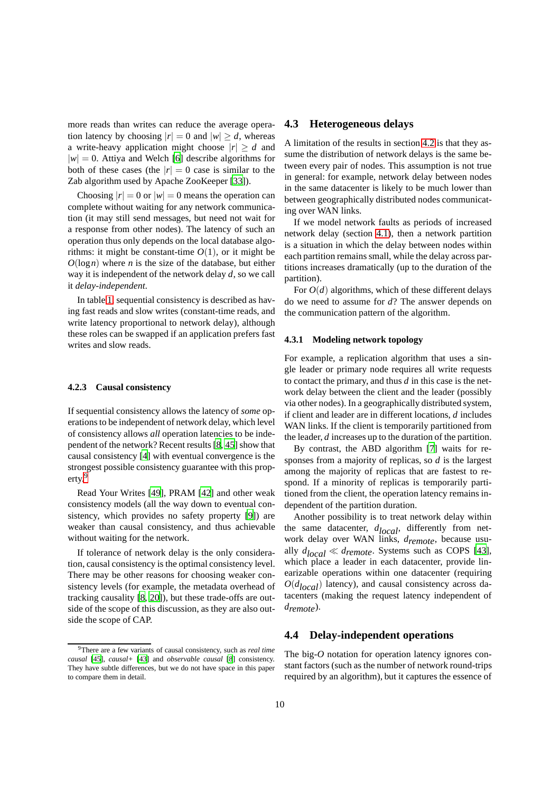more reads than writes can reduce the average operation latency by choosing  $|r| = 0$  and  $|w| \ge d$ , whereas a write-heavy application might choose  $|r| \ge d$  and  $|w| = 0$ . Attiya and Welch [\[6](#page-11-1)] describe algorithms for both of these cases (the  $|r| = 0$  case is similar to the Zab algorithm used by Apache ZooKeeper [\[33\]](#page-12-25)).

Choosing  $|r| = 0$  or  $|w| = 0$  means the operation can complete without waiting for any network communication (it may still send messages, but need not wait for a response from other nodes). The latency of such an operation thus only depends on the local database algorithms: it might be constant-time  $O(1)$ , or it might be  $O(\log n)$  where *n* is the size of the database, but either way it is independent of the network delay *d*, so we call it *delay-independent*.

In table [1,](#page-8-0) sequential consistency is described as having fast reads and slow writes (constant-time reads, and write latency proportional to network delay), although these roles can be swapped if an application prefers fast writes and slow reads.

#### **4.2.3 Causal consistency**

If sequential consistency allows the latency of *some* operations to be independent of network delay, which level of consistency allows *all* operation latencies to be independent of the network? Recent results [\[8,](#page-11-9) [45](#page-13-7)] show that causal consistency [\[4\]](#page-11-0) with eventual convergence is the strongest possible consistency guarantee with this property.[9](#page-9-1)

Read Your Writes [\[49\]](#page-13-4), PRAM [\[42\]](#page-13-0) and other weak consistency models (all the way down to eventual consistency, which provides no safety property [\[9\]](#page-11-6)) are weaker than causal consistency, and thus achievable without waiting for the network.

If tolerance of network delay is the only consideration, causal consistency is the optimal consistency level. There may be other reasons for choosing weaker consistency levels (for example, the metadata overhead of tracking causality [\[8,](#page-11-9) [20](#page-12-26)]), but these trade-offs are outside of the scope of this discussion, as they are also outside the scope of CAP.

# **4.3 Heterogeneous delays**

A limitation of the results in section [4.2](#page-8-2) is that they assume the distribution of network delays is the same between every pair of nodes. This assumption is not true in general: for example, network delay between nodes in the same datacenter is likely to be much lower than between geographically distributed nodes communicating over WAN links.

If we model network faults as periods of increased network delay (section [4.1\)](#page-7-1), then a network partition is a situation in which the delay between nodes within each partition remains small, while the delay across partitions increases dramatically (up to the duration of the partition).

For  $O(d)$  algorithms, which of these different delays do we need to assume for *d*? The answer depends on the communication pattern of the algorithm.

#### **4.3.1 Modeling network topology**

For example, a replication algorithm that uses a single leader or primary node requires all write requests to contact the primary, and thus *d* in this case is the network delay between the client and the leader (possibly via other nodes). In a geographically distributed system, if client and leader are in different locations, *d* includes WAN links. If the client is temporarily partitioned from the leader, *d* increases up to the duration of the partition.

By contrast, the ABD algorithm [\[7\]](#page-11-8) waits for responses from a majority of replicas, so *d* is the largest among the majority of replicas that are fastest to respond. If a minority of replicas is temporarily partitioned from the client, the operation latency remains independent of the partition duration.

Another possibility is to treat network delay within the same datacenter,  $d_{local}$ , differently from network delay over WAN links, *dremote*, because usually  $d_{local} \ll d_{remote}$ . Systems such as COPS [\[43\]](#page-13-8), which place a leader in each datacenter, provide linearizable operations within one datacenter (requiring  $O(d_{local})$  latency), and causal consistency across datacenters (making the request latency independent of *dremote*).

# <span id="page-9-0"></span>**4.4 Delay-independent operations**

The big- $O$  notation for operation latency ignores constant factors (such as the number of network round-trips required by an algorithm), but it captures the essence of

<span id="page-9-1"></span><sup>9</sup>There are a few variants of causal consistency, such as *real time causal* [\[45](#page-13-7)], *causal+* [\[43](#page-13-8)] and *observable causal* [\[8](#page-11-9)] consistency. They have subtle differences, but we do not have space in this paper to compare them in detail.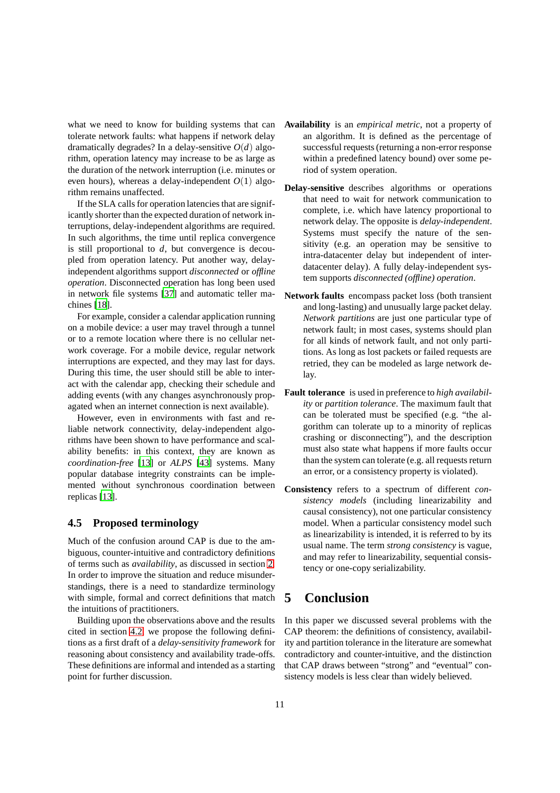what we need to know for building systems that can tolerate network faults: what happens if network delay dramatically degrades? In a delay-sensitive  $O(d)$  algorithm, operation latency may increase to be as large as the duration of the network interruption (i.e. minutes or even hours), whereas a delay-independent  $O(1)$  algorithm remains unaffected.

If the SLA calls for operation latencies that are significantly shorter than the expected duration of network interruptions, delay-independent algorithms are required. In such algorithms, the time until replica convergence is still proportional to *d*, but convergence is decoupled from operation latency. Put another way, delayindependent algorithms support *disconnected* or *offline operation*. Disconnected operation has long been used in network file systems [\[37\]](#page-12-27) and automatic teller machines [\[18](#page-12-6)].

For example, consider a calendar application running on a mobile device: a user may travel through a tunnel or to a remote location where there is no cellular network coverage. For a mobile device, regular network interruptions are expected, and they may last for days. During this time, the user should still be able to interact with the calendar app, checking their schedule and adding events (with any changes asynchronously propagated when an internet connection is next available).

However, even in environments with fast and reliable network connectivity, delay-independent algorithms have been shown to have performance and scalability benefits: in this context, they are known as *coordination-free* [\[13\]](#page-11-12) or *ALPS* [\[43\]](#page-13-8) systems. Many popular database integrity constraints can be implemented without synchronous coordination between replicas [\[13\]](#page-11-12).

## **4.5 Proposed terminology**

Much of the confusion around CAP is due to the ambiguous, counter-intuitive and contradictory definitions of terms such as *availability*, as discussed in section [2.](#page-1-0) In order to improve the situation and reduce misunderstandings, there is a need to standardize terminology with simple, formal and correct definitions that match the intuitions of practitioners.

Building upon the observations above and the results cited in section [4.2,](#page-8-2) we propose the following definitions as a first draft of a *delay-sensitivity framework* for reasoning about consistency and availability trade-offs. These definitions are informal and intended as a starting point for further discussion.

- **Availability** is an *empirical metric*, not a property of an algorithm. It is defined as the percentage of successful requests (returning a non-error response within a predefined latency bound) over some period of system operation.
- **Delay-sensitive** describes algorithms or operations that need to wait for network communication to complete, i.e. which have latency proportional to network delay. The opposite is *delay-independent*. Systems must specify the nature of the sensitivity (e.g. an operation may be sensitive to intra-datacenter delay but independent of interdatacenter delay). A fully delay-independent system supports *disconnected (offline) operation*.
- **Network faults** encompass packet loss (both transient and long-lasting) and unusually large packet delay. *Network partitions* are just one particular type of network fault; in most cases, systems should plan for all kinds of network fault, and not only partitions. As long as lost packets or failed requests are retried, they can be modeled as large network delay.
- **Fault tolerance** is used in preference to *high availability* or *partition tolerance*. The maximum fault that can be tolerated must be specified (e.g. "the algorithm can tolerate up to a minority of replicas crashing or disconnecting"), and the description must also state what happens if more faults occur than the system can tolerate (e.g. all requests return an error, or a consistency property is violated).
- **Consistency** refers to a spectrum of different *consistency models* (including linearizability and causal consistency), not one particular consistency model. When a particular consistency model such as linearizability is intended, it is referred to by its usual name. The term *strong consistency* is vague, and may refer to linearizability, sequential consistency or one-copy serializability.

# **5 Conclusion**

In this paper we discussed several problems with the CAP theorem: the definitions of consistency, availability and partition tolerance in the literature are somewhat contradictory and counter-intuitive, and the distinction that CAP draws between "strong" and "eventual" consistency models is less clear than widely believed.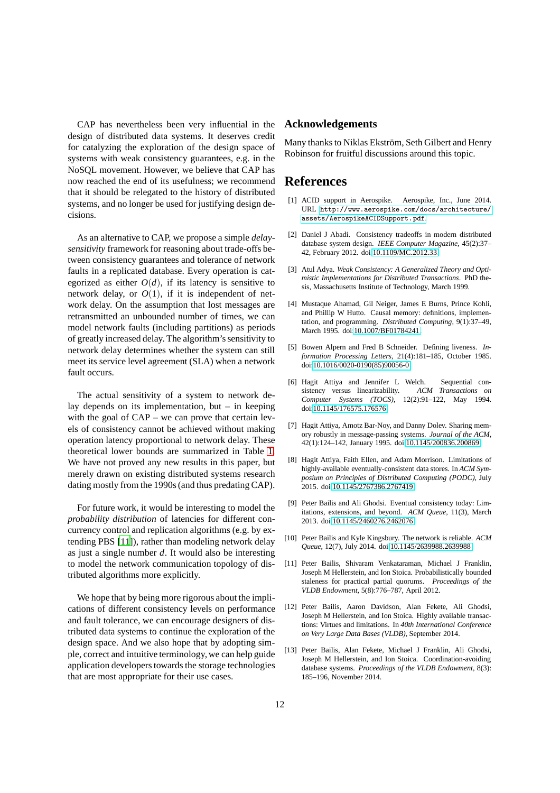CAP has nevertheless been very influential in the design of distributed data systems. It deserves credit for catalyzing the exploration of the design space of systems with weak consistency guarantees, e.g. in the NoSQL movement. However, we believe that CAP has now reached the end of its usefulness; we recommend that it should be relegated to the history of distributed systems, and no longer be used for justifying design decisions.

As an alternative to CAP, we propose a simple *delaysensitivity* framework for reasoning about trade-offs between consistency guarantees and tolerance of network faults in a replicated database. Every operation is categorized as either  $O(d)$ , if its latency is sensitive to network delay, or  $O(1)$ , if it is independent of network delay. On the assumption that lost messages are retransmitted an unbounded number of times, we can model network faults (including partitions) as periods of greatly increased delay. The algorithm's sensitivity to network delay determines whether the system can still meet its service level agreement (SLA) when a network fault occurs.

The actual sensitivity of a system to network delay depends on its implementation, but  $-$  in keeping with the goal of CAP – we can prove that certain levels of consistency cannot be achieved without making operation latency proportional to network delay. These theoretical lower bounds are summarized in Table [1.](#page-8-0) We have not proved any new results in this paper, but merely drawn on existing distributed systems research dating mostly from the 1990s (and thus predating CAP).

For future work, it would be interesting to model the *probability distribution* of latencies for different concurrency control and replication algorithms (e.g. by extending PBS [\[11](#page-11-7)]), rather than modeling network delay as just a single number *d*. It would also be interesting to model the network communication topology of distributed algorithms more explicitly.

We hope that by being more rigorous about the implications of different consistency levels on performance and fault tolerance, we can encourage designers of distributed data systems to continue the exploration of the design space. And we also hope that by adopting simple, correct and intuitive terminology, we can help guide application developers towards the storage technologies that are most appropriate for their use cases.

## **Acknowledgements**

Many thanks to Niklas Ekström, Seth Gilbert and Henry Robinson for fruitful discussions around this topic.

# **References**

- <span id="page-11-10"></span>[1] ACID support in Aerospike. Aerospike, Inc., June 2014. URL [http://www.aerospike.com/docs/architecture/](http://www.aerospike.com/docs/architecture/assets/AerospikeACIDSupport.pdf) [assets/AerospikeACIDSupport.pdf](http://www.aerospike.com/docs/architecture/assets/AerospikeACIDSupport.pdf).
- <span id="page-11-11"></span>[2] Daniel J Abadi. Consistency tradeoffs in modern distributed database system design. *IEEE Computer Magazine*, 45(2):37– 42, February 2012. doi[:10.1109/MC.2012.33.](http://dx.doi.org/10.1109/MC.2012.33)
- <span id="page-11-4"></span>[3] Atul Adya. *Weak Consistency: A Generalized Theory and Optimistic Implementations for Distributed Transactions*. PhD thesis, Massachusetts Institute of Technology, March 1999.
- <span id="page-11-0"></span>[4] Mustaque Ahamad, Gil Neiger, James E Burns, Prince Kohli, and Phillip W Hutto. Causal memory: definitions, implementation, and programming. *Distributed Computing*, 9(1):37–49, March 1995. doi[:10.1007/BF01784241.](http://dx.doi.org/10.1007/BF01784241)
- <span id="page-11-3"></span>[5] Bowen Alpern and Fred B Schneider. Defining liveness. *Information Processing Letters*, 21(4):181–185, October 1985. doi[:10.1016/0020-0190\(85\)90056-0.](http://dx.doi.org/10.1016/0020-0190(85)90056-0)
- <span id="page-11-1"></span>[6] Hagit Attiya and Jennifer L Welch. Sequential consistency versus linearizability. *ACM Transactions on Computer Systems (TOCS)*, 12(2):91–122, May 1994. doi[:10.1145/176575.176576.](http://dx.doi.org/10.1145/176575.176576)
- <span id="page-11-8"></span>[7] Hagit Attiya, Amotz Bar-Noy, and Danny Dolev. Sharing memory robustly in message-passing systems. *Journal of the ACM*, 42(1):124–142, January 1995. doi[:10.1145/200836.200869.](http://dx.doi.org/10.1145/200836.200869)
- <span id="page-11-9"></span>[8] Hagit Attiya, Faith Ellen, and Adam Morrison. Limitations of highly-available eventually-consistent data stores. In *ACM Symposium on Principles of Distributed Computing (PODC)*, July 2015. doi[:10.1145/2767386.2767419.](http://dx.doi.org/10.1145/2767386.2767419)
- <span id="page-11-6"></span>[9] Peter Bailis and Ali Ghodsi. Eventual consistency today: Limitations, extensions, and beyond. *ACM Queue*, 11(3), March 2013. doi[:10.1145/2460276.2462076.](http://dx.doi.org/10.1145/2460276.2462076)
- <span id="page-11-2"></span>[10] Peter Bailis and Kyle Kingsbury. The network is reliable. *ACM Queue*, 12(7), July 2014. doi[:10.1145/2639988.2639988.](http://dx.doi.org/10.1145/2639988.2639988)
- <span id="page-11-7"></span>[11] Peter Bailis, Shivaram Venkataraman, Michael J Franklin, Joseph M Hellerstein, and Ion Stoica. Probabilistically bounded staleness for practical partial quorums. *Proceedings of the VLDB Endowment*, 5(8):776–787, April 2012.
- <span id="page-11-5"></span>[12] Peter Bailis, Aaron Davidson, Alan Fekete, Ali Ghodsi, Joseph M Hellerstein, and Ion Stoica. Highly available transactions: Virtues and limitations. In *40th International Conference on Very Large Data Bases (VLDB)*, September 2014.
- <span id="page-11-12"></span>[13] Peter Bailis, Alan Fekete, Michael J Franklin, Ali Ghodsi, Joseph M Hellerstein, and Ion Stoica. Coordination-avoiding database systems. *Proceedings of the VLDB Endowment*, 8(3): 185–196, November 2014.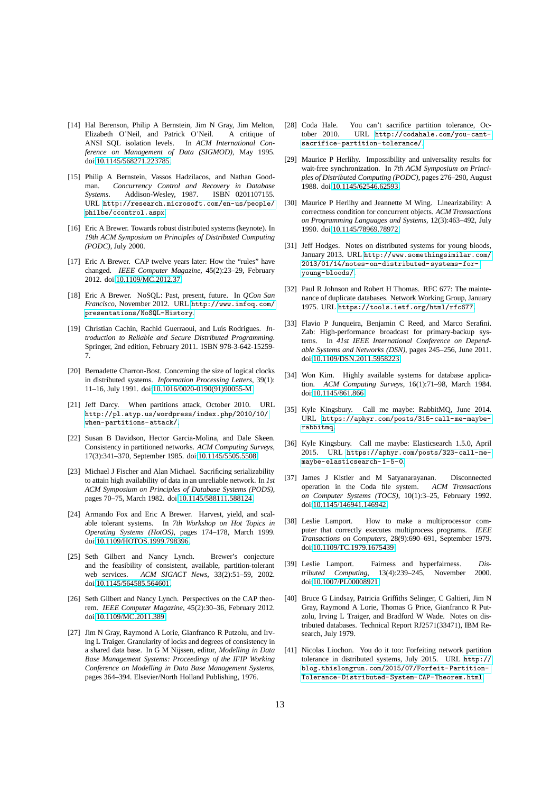- <span id="page-12-18"></span>[14] Hal Berenson, Philip A Bernstein, Jim N Gray, Jim Melton, Elizabeth O'Neil, and Patrick O'Neil. A critique of ANSI SQL isolation levels. In *ACM International Conference on Management of Data (SIGMOD)*, May 1995. doi[:10.1145/568271.223785.](http://dx.doi.org/10.1145/568271.223785)
- <span id="page-12-17"></span>[15] Philip A Bernstein, Vassos Hadzilacos, and Nathan Goodman. *Concurrency Control and Recovery in Database Systems*. Addison-Wesley, 1987. ISBN 0201107155. URL [http://research.microsoft.com/en-us/people/](http://research.microsoft.com/en-us/people/philbe/ccontrol.aspx) [philbe/ccontrol.aspx](http://research.microsoft.com/en-us/people/philbe/ccontrol.aspx).
- <span id="page-12-7"></span>[16] Eric A Brewer. Towards robust distributed systems (keynote). In *19th ACM Symposium on Principles of Distributed Computing (PODC)*, July 2000.
- <span id="page-12-12"></span>[17] Eric A Brewer. CAP twelve years later: How the "rules" have changed. *IEEE Computer Magazine*, 45(2):23–29, February 2012. doi[:10.1109/MC.2012.37.](http://dx.doi.org/10.1109/MC.2012.37)
- <span id="page-12-6"></span>[18] Eric A Brewer. NoSQL: Past, present, future. In *QCon San Francisco*, November 2012. URL [http://www.infoq.com/](http://www.infoq.com/presentations/NoSQL-History) [presentations/NoSQL-History](http://www.infoq.com/presentations/NoSQL-History).
- <span id="page-12-22"></span>[19] Christian Cachin, Rachid Guerraoui, and Luís Rodrigues. *Introduction to Reliable and Secure Distributed Programming*. Springer, 2nd edition, February 2011. ISBN 978-3-642-15259- 7.
- <span id="page-12-26"></span>[20] Bernadette Charron-Bost. Concerning the size of logical clocks in distributed systems. *Information Processing Letters*, 39(1): 11–16, July 1991. doi[:10.1016/0020-0190\(91\)90055-M.](http://dx.doi.org/10.1016/0020-0190(91)90055-M)
- <span id="page-12-14"></span>[21] Jeff Darcy. When partitions attack, October 2010. URL [http://pl.atyp.us/wordpress/index.php/2010/10/](http://pl.atyp.us/wordpress/index.php/2010/10/when-partitions-attack/) [when-partitions-attack/](http://pl.atyp.us/wordpress/index.php/2010/10/when-partitions-attack/).
- <span id="page-12-2"></span>[22] Susan B Davidson, Hector Garcia-Molina, and Dale Skeen. Consistency in partitioned networks. *ACM Computing Surveys*, 17(3):341–370, September 1985. doi[:10.1145/5505.5508.](http://dx.doi.org/10.1145/5505.5508)
- <span id="page-12-3"></span>[23] Michael J Fischer and Alan Michael. Sacrificing serializability to attain high availability of data in an unreliable network. In *1st ACM Symposium on Principles of Database Systems (PODS)*, pages 70–75, March 1982. doi[:10.1145/588111.588124.](http://dx.doi.org/10.1145/588111.588124)
- <span id="page-12-8"></span>[24] Armando Fox and Eric A Brewer. Harvest, yield, and scalable tolerant systems. In *7th Workshop on Hot Topics in Operating Systems (HotOS)*, pages 174–178, March 1999. doi[:10.1109/HOTOS.1999.798396.](http://dx.doi.org/10.1109/HOTOS.1999.798396)
- <span id="page-12-9"></span>[25] Seth Gilbert and Nancy Lynch. Brewer's conjecture and the feasibility of consistent, available, partition-tolerant web services. *ACM SIGACT News*, 33(2):51–59, 2002. doi[:10.1145/564585.564601.](http://dx.doi.org/10.1145/564585.564601)
- <span id="page-12-10"></span>[26] Seth Gilbert and Nancy Lynch. Perspectives on the CAP theorem. *IEEE Computer Magazine*, 45(2):30–36, February 2012. doi[:10.1109/MC.2011.389.](http://dx.doi.org/10.1109/MC.2011.389)
- <span id="page-12-19"></span>[27] Jim N Gray, Raymond A Lorie, Gianfranco R Putzolu, and Irving L Traiger. Granularity of locks and degrees of consistency in a shared data base. In G M Nijssen, editor, *Modelling in Data Base Management Systems: Proceedings of the IFIP Working Conference on Modelling in Data Base Management Systems*, pages 364–394. Elsevier/North Holland Publishing, 1976.
- <span id="page-12-13"></span>[28] Coda Hale. You can't sacrifice partition tolerance, October 2010. URL [http://codahale.com/you-cant](http://codahale.com/you-cant-sacrifice-partition-tolerance/)[sacrifice-partition-tolerance/](http://codahale.com/you-cant-sacrifice-partition-tolerance/).
- <span id="page-12-23"></span>[29] Maurice P Herlihy. Impossibility and universality results for wait-free synchronization. In *7th ACM Symposium on Principles of Distributed Computing (PODC)*, pages 276–290, August 1988. doi[:10.1145/62546.62593.](http://dx.doi.org/10.1145/62546.62593)
- <span id="page-12-0"></span>[30] Maurice P Herlihy and Jeannette M Wing. Linearizability: A correctness condition for concurrent objects. *ACM Transactions on Programming Languages and Systems*, 12(3):463–492, July 1990. doi[:10.1145/78969.78972.](http://dx.doi.org/10.1145/78969.78972)
- <span id="page-12-11"></span>[31] Jeff Hodges. Notes on distributed systems for young bloods, January 2013. URL [http://www.somethingsimilar.com/](http://www.somethingsimilar.com/2013/01/14/notes-on-distributed-systems-for-young-bloods/) [2013/01/14/notes-on-distributed- systems-for](http://www.somethingsimilar.com/2013/01/14/notes-on-distributed-systems-for-young-bloods/)[young-bloods/](http://www.somethingsimilar.com/2013/01/14/notes-on-distributed-systems-for-young-bloods/).
- <span id="page-12-4"></span>[32] Paul R Johnson and Robert H Thomas. RFC 677: The maintenance of duplicate databases. Network Working Group, January 1975. URL <https://tools.ietf.org/html/rfc677>.
- <span id="page-12-25"></span>[33] Flavio P Junqueira, Benjamin C Reed, and Marco Serafini. Zab: High-performance broadcast for primary-backup systems. In *41st IEEE International Conference on Dependable Systems and Networks (DSN)*, pages 245–256, June 2011. doi[:10.1109/DSN.2011.5958223.](http://dx.doi.org/10.1109/DSN.2011.5958223)
- <span id="page-12-16"></span>[34] Won Kim. Highly available systems for database application. *ACM Computing Surveys*, 16(1):71–98, March 1984. doi[:10.1145/861.866.](http://dx.doi.org/10.1145/861.866)
- <span id="page-12-20"></span>[35] Kyle Kingsbury. Call me maybe: RabbitMQ, June 2014. URL [https://aphyr.com/posts/315-call-me-maybe](https://aphyr.com/posts/315-call-me-maybe-rabbitmq)[rabbitmq](https://aphyr.com/posts/315-call-me-maybe-rabbitmq).
- <span id="page-12-21"></span>[36] Kyle Kingsbury. Call me maybe: Elasticsearch 1.5.0, April 2015. URL [https://aphyr.com/posts/323-call-me](https://aphyr.com/posts/323-call-me-maybe-elasticsearch-1-5-0)[maybe-elasticsearch- 1-5-0](https://aphyr.com/posts/323-call-me-maybe-elasticsearch-1-5-0).
- <span id="page-12-27"></span>[37] James J Kistler and M Satyanarayanan. Disconnected operation in the Coda file system. *ACM Transactions on Computer Systems (TOCS)*, 10(1):3–25, February 1992. doi[:10.1145/146941.146942.](http://dx.doi.org/10.1145/146941.146942)
- <span id="page-12-1"></span>[38] Leslie Lamport. How to make a multiprocessor computer that correctly executes multiprocess programs. *IEEE Transactions on Computers*, 28(9):690–691, September 1979. doi[:10.1109/TC.1979.1675439.](http://dx.doi.org/10.1109/TC.1979.1675439)
- <span id="page-12-24"></span>[39] Leslie Lamport. Fairness and hyperfairness. *Distributed Computing*, 13(4):239–245, November 2000. doi[:10.1007/PL00008921.](http://dx.doi.org/10.1007/PL00008921)
- <span id="page-12-5"></span>[40] Bruce G Lindsay, Patricia Griffiths Selinger, C Galtieri, Jim N Gray, Raymond A Lorie, Thomas G Price, Gianfranco R Putzolu, Irving L Traiger, and Bradford W Wade. Notes on distributed databases. Technical Report RJ2571(33471), IBM Research, July 1979.
- <span id="page-12-15"></span>[41] Nicolas Liochon. You do it too: Forfeiting network partition tolerance in distributed systems, July 2015. URL [http://](http://blog.thislongrun.com/2015/07/Forfeit-Partition-Tolerance-Distributed-System-CAP-Theorem.html) [blog.thislongrun.com/2015/07/Forfeit-Partition-](http://blog.thislongrun.com/2015/07/Forfeit-Partition-Tolerance-Distributed-System-CAP-Theorem.html)[Tolerance-Distributed- System-CAP-Theorem.html](http://blog.thislongrun.com/2015/07/Forfeit-Partition-Tolerance-Distributed-System-CAP-Theorem.html).